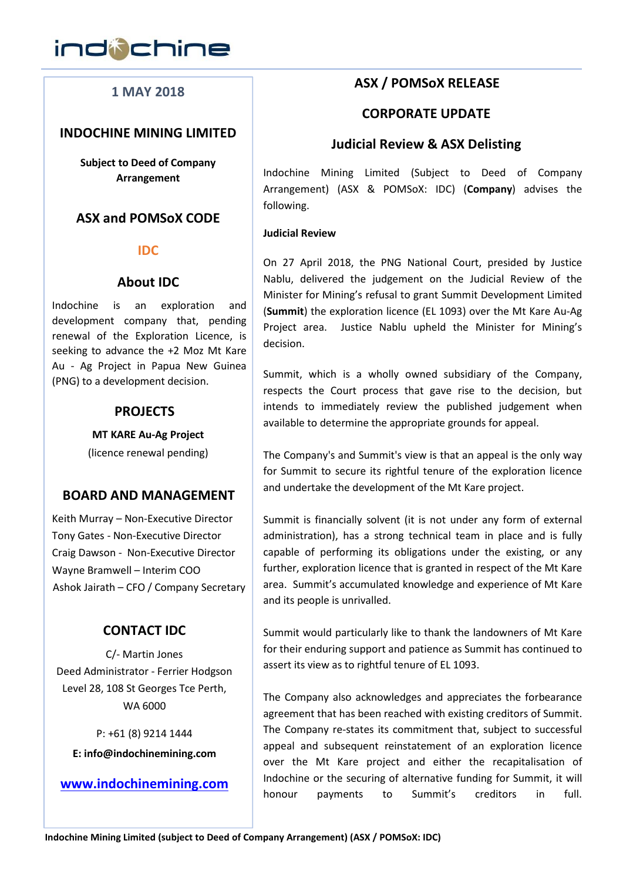

# **1 MAY 2018**

# **INDOCHINE MINING LIMITED**

**Subject to Deed of Company Arrangement**

# **ASX and POMSoX CODE**

#### **IDC**

# **About IDC**

Indochine is an exploration and development company that, pending renewal of the Exploration Licence, is seeking to advance the +2 Moz Mt Kare Au - Ag Project in Papua New Guinea (PNG) to a development decision.

# **PROJECTS**

**MT KARE Au-Ag Project**

(licence renewal pending)

# **BOARD AND MANAGEMENT**

Keith Murray – Non-Executive Director Tony Gates - Non-Executive Director Craig Dawson - Non-Executive Director Wayne Bramwell – Interim COO Ashok Jairath – CFO / Company Secretary

# **CONTACT IDC**

C/- Martin Jones Deed Administrator - Ferrier Hodgson Level 28, 108 St Georges Tce Perth, WA 6000

P: +61 (8) 9214 1444 **E: info@indochinemining.com**

**www.indochinemining.com**

# **ASX / POMSoX RELEASE**

## **CORPORATE UPDATE**

# **Judicial Review & ASX Delisting**

Indochine Mining Limited (Subject to Deed of Company Arrangement) (ASX & POMSoX: IDC) (**Company**) advises the following.

#### **Judicial Review**

On 27 April 2018, the PNG National Court, presided by Justice Nablu, delivered the judgement on the Judicial Review of the Minister for Mining's refusal to grant Summit Development Limited (**Summit**) the exploration licence (EL 1093) over the Mt Kare Au-Ag Project area. Justice Nablu upheld the Minister for Mining's decision.

Summit, which is a wholly owned subsidiary of the Company, respects the Court process that gave rise to the decision, but intends to immediately review the published judgement when available to determine the appropriate grounds for appeal.

The Company's and Summit's view is that an appeal is the only way for Summit to secure its rightful tenure of the exploration licence and undertake the development of the Mt Kare project.

Summit is financially solvent (it is not under any form of external administration), has a strong technical team in place and is fully capable of performing its obligations under the existing, or any further, exploration licence that is granted in respect of the Mt Kare area. Summit's accumulated knowledge and experience of Mt Kare and its people is unrivalled.

Summit would particularly like to thank the landowners of Mt Kare for their enduring support and patience as Summit has continued to assert its view as to rightful tenure of EL 1093.

The Company also acknowledges and appreciates the forbearance agreement that has been reached with existing creditors of Summit. The Company re-states its commitment that, subject to successful appeal and subsequent reinstatement of an exploration licence over the Mt Kare project and either the recapitalisation of Indochine or the securing of alternative funding for Summit, it will honour payments to Summit's creditors in full.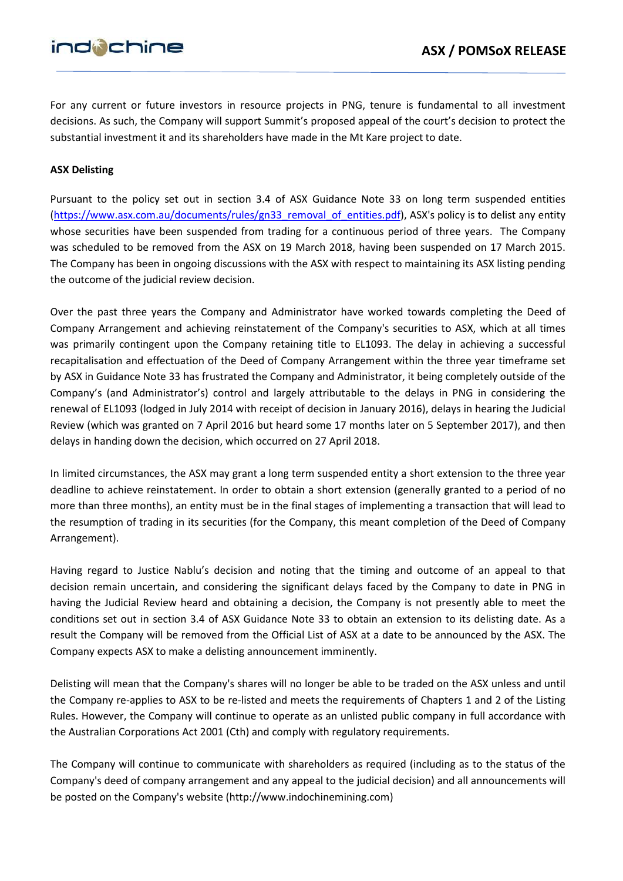# ind@chine

For any current or future investors in resource projects in PNG, tenure is fundamental to all investment decisions. As such, the Company will support Summit's proposed appeal of the court's decision to protect the substantial investment it and its shareholders have made in the Mt Kare project to date.

# **ASX Delisting**

Pursuant to the policy set out in section 3.4 of ASX Guidance Note 33 on long term suspended entities (https://www.asx.com.au/documents/rules/gn33\_removal\_of\_entities.pdf), ASX's policy is to delist any entity whose securities have been suspended from trading for a continuous period of three years. The Company was scheduled to be removed from the ASX on 19 March 2018, having been suspended on 17 March 2015. The Company has been in ongoing discussions with the ASX with respect to maintaining its ASX listing pending the outcome of the judicial review decision.

Over the past three years the Company and Administrator have worked towards completing the Deed of Company Arrangement and achieving reinstatement of the Company's securities to ASX, which at all times was primarily contingent upon the Company retaining title to EL1093. The delay in achieving a successful recapitalisation and effectuation of the Deed of Company Arrangement within the three year timeframe set by ASX in Guidance Note 33 has frustrated the Company and Administrator, it being completely outside of the Company's (and Administrator's) control and largely attributable to the delays in PNG in considering the renewal of EL1093 (lodged in July 2014 with receipt of decision in January 2016), delays in hearing the Judicial Review (which was granted on 7 April 2016 but heard some 17 months later on 5 September 2017), and then delays in handing down the decision, which occurred on 27 April 2018.

In limited circumstances, the ASX may grant a long term suspended entity a short extension to the three year deadline to achieve reinstatement. In order to obtain a short extension (generally granted to a period of no more than three months), an entity must be in the final stages of implementing a transaction that will lead to the resumption of trading in its securities (for the Company, this meant completion of the Deed of Company Arrangement).

Having regard to Justice Nablu's decision and noting that the timing and outcome of an appeal to that decision remain uncertain, and considering the significant delays faced by the Company to date in PNG in having the Judicial Review heard and obtaining a decision, the Company is not presently able to meet the conditions set out in section 3.4 of ASX Guidance Note 33 to obtain an extension to its delisting date. As a result the Company will be removed from the Official List of ASX at a date to be announced by the ASX. The Company expects ASX to make a delisting announcement imminently.

Delisting will mean that the Company's shares will no longer be able to be traded on the ASX unless and until the Company re-applies to ASX to be re-listed and meets the requirements of Chapters 1 and 2 of the Listing Rules. However, the Company will continue to operate as an unlisted public company in full accordance with the Australian Corporations Act 2001 (Cth) and comply with regulatory requirements.

The Company will continue to communicate with shareholders as required (including as to the status of the Company's deed of company arrangement and any appeal to the judicial decision) and all announcements will be posted on the Company's website (http://www.indochinemining.com)